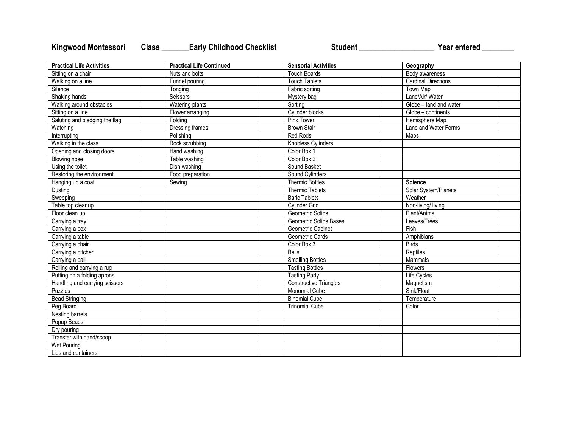## Kingwood Montessori Class \_\_\_\_\_\_Early Childhood Checklist **Student \_\_\_\_\_\_\_\_\_\_\_\_\_\_\_\_\_\_\_\_\_\_** Year entered \_\_\_\_\_\_\_

| <b>Practical Life Activities</b> | <b>Practical Life Continued</b> | <b>Sensorial Activities</b>   | Geography                  |  |
|----------------------------------|---------------------------------|-------------------------------|----------------------------|--|
| Sitting on a chair               | Nuts and bolts                  | <b>Touch Boards</b>           | Body awareness             |  |
| Walking on a line                | Funnel pouring                  | <b>Touch Tablets</b>          | <b>Cardinal Directions</b> |  |
| Silence                          | Tonging                         | Fabric sorting                | Town Map                   |  |
| Shaking hands                    | Scissors                        | Mystery bag                   | Land/Air/ Water            |  |
| Walking around obstacles         | Watering plants                 | Sorting                       | Globe - land and water     |  |
| Sitting on a line                | Flower arranging                | Cylinder blocks               | Globe - continents         |  |
| Saluting and pledging the flag   | Folding                         | <b>Pink Tower</b>             | Hemisphere Map             |  |
| Watching                         | Dressing frames                 | <b>Brown Stair</b>            | Land and Water Forms       |  |
| Interrupting                     | Polishing                       | <b>Red Rods</b>               | Maps                       |  |
| Walking in the class             | Rock scrubbing                  | Knobless Cylinders            |                            |  |
| Opening and closing doors        | Hand washing                    | Color Box 1                   |                            |  |
| <b>Blowing nose</b>              | Table washing                   | Color Box 2                   |                            |  |
| Using the toilet                 | Dish washing                    | Sound Basket                  |                            |  |
| Restoring the environment        | Food preparation                | Sound Cylinders               |                            |  |
| Hanging up a coat                | Sewing                          | <b>Thermic Bottles</b>        | <b>Science</b>             |  |
| Dusting                          |                                 | <b>Thermic Tablets</b>        | Solar System/Planets       |  |
| Sweeping                         |                                 | <b>Baric Tablets</b>          | Weather                    |  |
| Table top cleanup                |                                 | <b>Cylinder Grid</b>          | Non-living/ living         |  |
| Floor clean up                   |                                 | Geometric Solids              | Plant/Animal               |  |
| Carrying a tray                  |                                 | Geometric Solids Bases        | Leaves/Trees               |  |
| Carrying a box                   |                                 | Geometric Cabinet             | Fish                       |  |
| Carrying a table                 |                                 | Geometric Cards               | Amphibians                 |  |
| Carrying a chair                 |                                 | Color Box 3                   | <b>Birds</b>               |  |
| Carrying a pitcher               |                                 | <b>Bells</b>                  | Reptiles                   |  |
| Carrying a pail                  |                                 | <b>Smelling Bottles</b>       | Mammals                    |  |
| Rolling and carrying a rug       |                                 | <b>Tasting Bottles</b>        | Flowers                    |  |
| Putting on a folding aprons      |                                 | <b>Tasting Party</b>          | Life Cycles                |  |
| Handling and carrying scissors   |                                 | <b>Constructive Triangles</b> | Magnetism                  |  |
| <b>Puzzles</b>                   |                                 | <b>Monomial Cube</b>          | Sink/Float                 |  |
| <b>Bead Stringing</b>            |                                 | <b>Binomial Cube</b>          | Temperature                |  |
| Peg Board                        |                                 | <b>Trinomial Cube</b>         | Color                      |  |
| Nesting barrels                  |                                 |                               |                            |  |
| Popup Beads                      |                                 |                               |                            |  |
| Dry pouring                      |                                 |                               |                            |  |
| Transfer with hand/scoop         |                                 |                               |                            |  |
| Wet Pouring                      |                                 |                               |                            |  |
| Lids and containers              |                                 |                               |                            |  |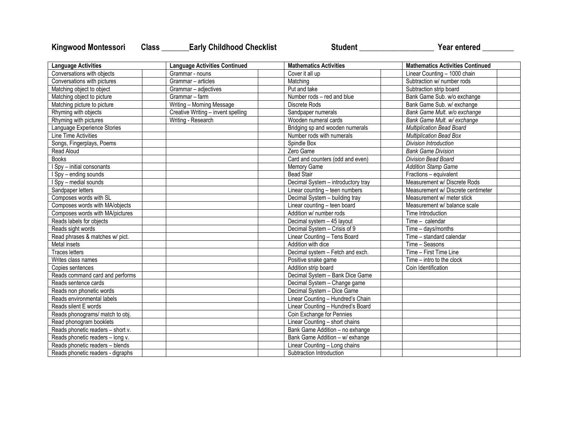## Kingwood Montessori Class \_\_\_\_\_\_Early Childhood Checklist **Student \_\_\_\_\_\_\_\_\_\_\_\_\_\_\_\_\_\_\_\_\_\_** Year entered \_\_\_\_\_\_\_

| <b>Language Activities</b>        | <b>Language Activities Continued</b> | <b>Mathematics Activities</b>      | <b>Mathematics Activities Continued</b> |
|-----------------------------------|--------------------------------------|------------------------------------|-----------------------------------------|
| Conversations with objects        | Grammar - nouns                      | Cover it all up                    | Linear Counting - 1000 chain            |
| Conversations with pictures       | Grammar - articles                   | Matching                           | Subtraction w/ number rods              |
| Matching object to object         | Grammar - adjectives                 | Put and take                       | Subtraction strip board                 |
| Matching object to picture        | Grammar - farm                       | Number rods - red and blue         | Bank Game Sub. w/o exchange             |
| Matching picture to picture       | Writing - Morning Message            | Discrete Rods                      | Bank Game Sub. w/ exchange              |
| Rhyming with objects              | Creative Writing - invent spelling   | Sandpaper numerals                 | Bank Game Mult. w/o exchange            |
| Rhyming with pictures             | Writing - Research                   | Wooden numeral cards               | Bank Game Mult. w/ exchange             |
| Language Experience Stories       |                                      | Bridging sp and wooden numerals    | <b>Multiplication Bead Board</b>        |
| Line Time Activities              |                                      | Number rods with numerals          | <b>Multiplication Bead Box</b>          |
| Songs, Fingerplays, Poems         |                                      | Spindle Box                        | <b>Division Introduction</b>            |
| Read Aloud                        |                                      | Zero Game                          | <b>Bank Game Division</b>               |
| <b>Books</b>                      |                                      | Card and counters (odd and even)   | <b>Division Bead Board</b>              |
| I Spy - initial consonants        |                                      | Memory Game                        | <b>Addition Stamp Game</b>              |
| I Spy - ending sounds             |                                      | <b>Bead Stair</b>                  | Fractions - equivalent                  |
| I Spy - medial sounds             |                                      | Decimal System - introductory tray | Measurement w/ Discrete Rods            |
| Sandpaper letters                 |                                      | Linear counting - teen numbers     | Measurement w/ Discrete centimeter      |
| Composes words with SL            |                                      | Decimal System - building tray     | Measurement w/ meter stick              |
| Composes words with MA/objects    |                                      | Linear counting - teen board       | Measurement w/ balance scale            |
| Composes words with MA/pictures   |                                      | Addition w/ number rods            | Time Introduction                       |
| Reads labels for objects          |                                      | Decimal system - 45 layout         | Time - calendar                         |
| Reads sight words                 |                                      | Decimal System - Crisis of 9       | Time - days/months                      |
| Read phrases & matches w/ pict.   |                                      | Linear Counting - Tens Board       | Time - standard calendar                |
| Metal insets                      |                                      | Addition with dice                 | Time - Seasons                          |
| Traces letters                    |                                      | Decimal system - Fetch and exch.   | Time - First Time Line                  |
| Writes class names                |                                      | Positive snake game                | $Time - intro$ to the clock             |
| Copies sentences                  |                                      | Addition strip board               | Coin Identification                     |
| Reads command card and performs   |                                      | Decimal System - Bank Dice Game    |                                         |
| Reads sentence cards              |                                      | Decimal System - Change game       |                                         |
| Reads non phonetic words          |                                      | Decimal System - Dice Game         |                                         |
| Reads environmental labels        |                                      | Linear Counting - Hundred's Chain  |                                         |
| Reads silent E words              |                                      | Linear Counting - Hundred's Board  |                                         |
| Reads phonograms/ match to obj.   |                                      | Coin Exchange for Pennies          |                                         |
| Read phonogram booklets           |                                      | Linear Counting - short chains     |                                         |
| Reads phonetic readers - short v. |                                      | Bank Game Addition - no exhange    |                                         |
| Reads phonetic readers - long v.  |                                      | Bank Game Addition - w/ exhange    |                                         |
| Reads phonetic readers - blends   |                                      | Linear Counting - Long chains      |                                         |
| Reads phonetic readers - digraphs |                                      | Subtraction Introduction           |                                         |